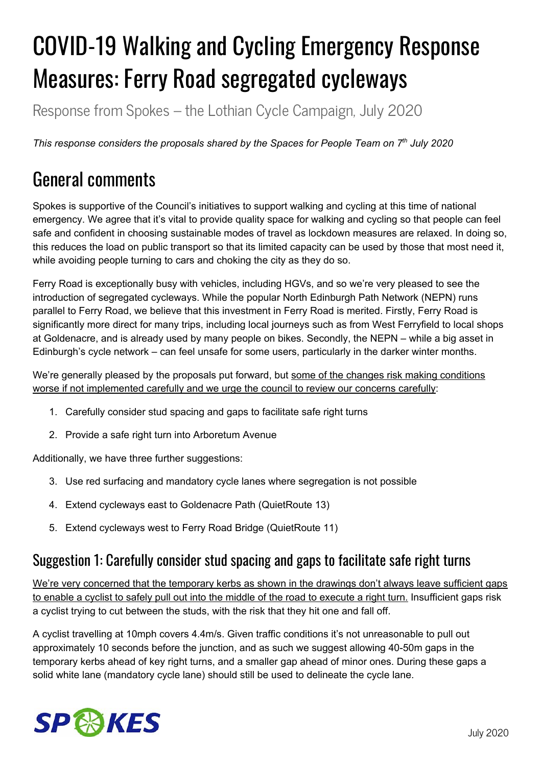# COVID-19 Walking and Cycling Emergency Response Measures: Ferry Road segregated cycleways

Response from Spokes – the Lothian Cycle Campaign, July 2020

*This response considers the proposals shared by the Spaces for People Team on 7 th July 2020*

# General comments

Spokes is supportive of the Council's initiatives to support walking and cycling at this time of national emergency. We agree that it's vital to provide quality space for walking and cycling so that people can feel safe and confident in choosing sustainable modes of travel as lockdown measures are relaxed. In doing so, this reduces the load on public transport so that its limited capacity can be used by those that most need it, while avoiding people turning to cars and choking the city as they do so.

Ferry Road is exceptionally busy with vehicles, including HGVs, and so we're very pleased to see the introduction of segregated cycleways. While the popular North Edinburgh Path Network (NEPN) runs parallel to Ferry Road, we believe that this investment in Ferry Road is merited. Firstly, Ferry Road is significantly more direct for many trips, including local journeys such as from West Ferryfield to local shops at Goldenacre, and is already used by many people on bikes. Secondly, the NEPN – while a big asset in Edinburgh's cycle network – can feel unsafe for some users, particularly in the darker winter months.

We're generally pleased by the proposals put forward, but some of the changes risk making conditions worse if not implemented carefully and we urge the council to review our concerns carefully:

- 1. Carefully consider stud spacing and gaps to facilitate safe right turns
- 2. Provide a safe right turn into Arboretum Avenue

Additionally, we have three further suggestions:

- 3. Use red surfacing and mandatory cycle lanes where segregation is not possible
- 4. Extend cycleways east to Goldenacre Path (QuietRoute 13)
- 5. Extend cycleways west to Ferry Road Bridge (QuietRoute 11)

#### Suggestion 1: Carefully consider stud spacing and gaps to facilitate safe right turns

We're very concerned that the temporary kerbs as shown in the drawings don't always leave sufficient gaps to enable a cyclist to safely pull out into the middle of the road to execute a right turn. Insufficient gaps risk a cyclist trying to cut between the studs, with the risk that they hit one and fall off.

A cyclist travelling at 10mph covers 4.4m/s. Given traffic conditions it's not unreasonable to pull out approximately 10 seconds before the junction, and as such we suggest allowing 40-50m gaps in the temporary kerbs ahead of key right turns, and a smaller gap ahead of minor ones. During these gaps a solid white lane (mandatory cycle lane) should still be used to delineate the cycle lane.

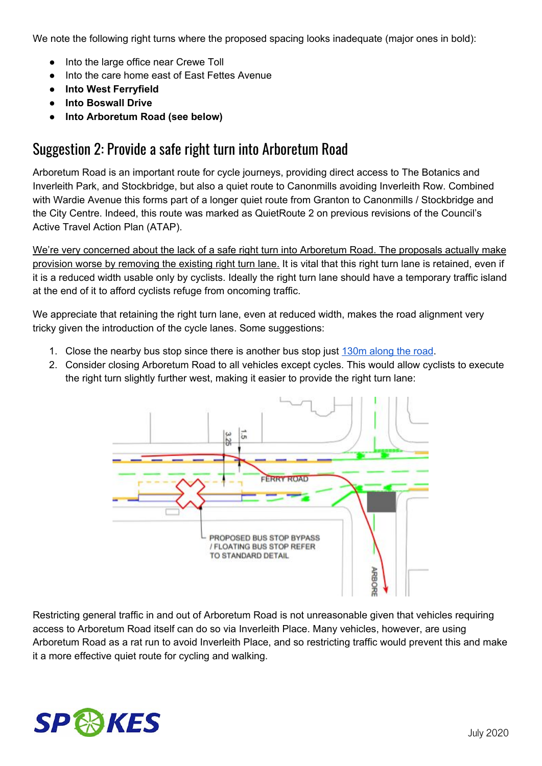We note the following right turns where the proposed spacing looks inadequate (major ones in bold):

- Into the large office near Crewe Toll
- Into the care home east of East Fettes Avenue
- **● Into West Ferryfield**
- **● Into Boswall Drive**
- **● Into Arboretum Road (see below)**

#### Suggestion 2: Provide a safe right turn into Arboretum Road

Arboretum Road is an important route for cycle journeys, providing direct access to The Botanics and Inverleith Park, and Stockbridge, but also a quiet route to Canonmills avoiding Inverleith Row. Combined with Wardie Avenue this forms part of a longer quiet route from Granton to Canonmills / Stockbridge and the City Centre. Indeed, this route was marked as QuietRoute 2 on previous revisions of the Council's Active Travel Action Plan (ATAP).

We're very concerned about the lack of a safe right turn into Arboretum Road. The proposals actually make provision worse by removing the existing right turn lane. It is vital that this right turn lane is retained, even if it is a reduced width usable only by cyclists. Ideally the right turn lane should have a temporary traffic island at the end of it to afford cyclists refuge from oncoming traffic.

We appreciate that retaining the right turn lane, even at reduced width, makes the road alignment very tricky given the introduction of the cycle lanes. Some suggestions:

- 1. Close the nearby bus stop since there is another bus stop just [130m](https://goo.gl/maps/e8MQhWbZxVbnyfE69) along the road.
- 2. Consider closing Arboretum Road to all vehicles except cycles. This would allow cyclists to execute the right turn slightly further west, making it easier to provide the right turn lane:



Restricting general traffic in and out of Arboretum Road is not unreasonable given that vehicles requiring access to Arboretum Road itself can do so via Inverleith Place. Many vehicles, however, are using Arboretum Road as a rat run to avoid Inverleith Place, and so restricting traffic would prevent this and make it a more effective quiet route for cycling and walking.